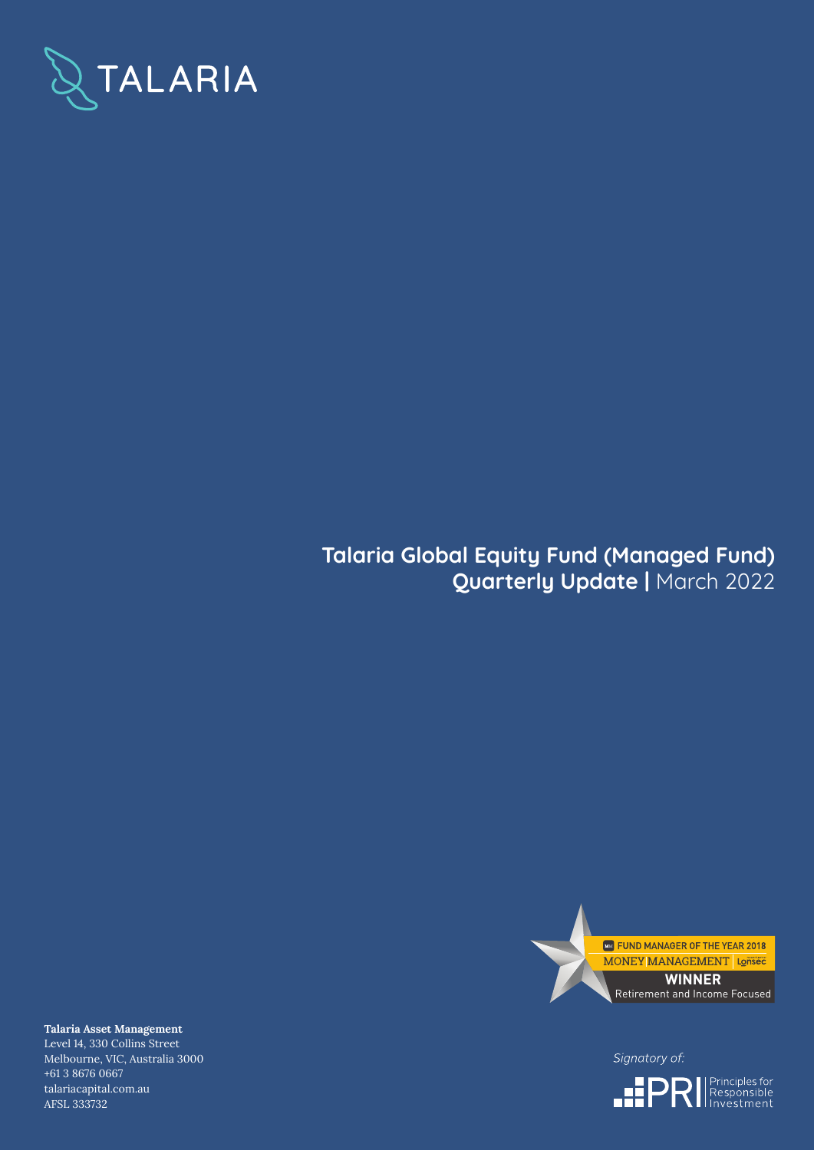

# **Talaria Global Equity Fund (Managed Fund) Quarterly Update |** March 2022



Signatory of:



**Talaria Asset Management** Level 14, 330 Collins Street Melbourne, VIC, Australia 3000 +61 3 8676 0667 talariacapital.com.au AFSL 333732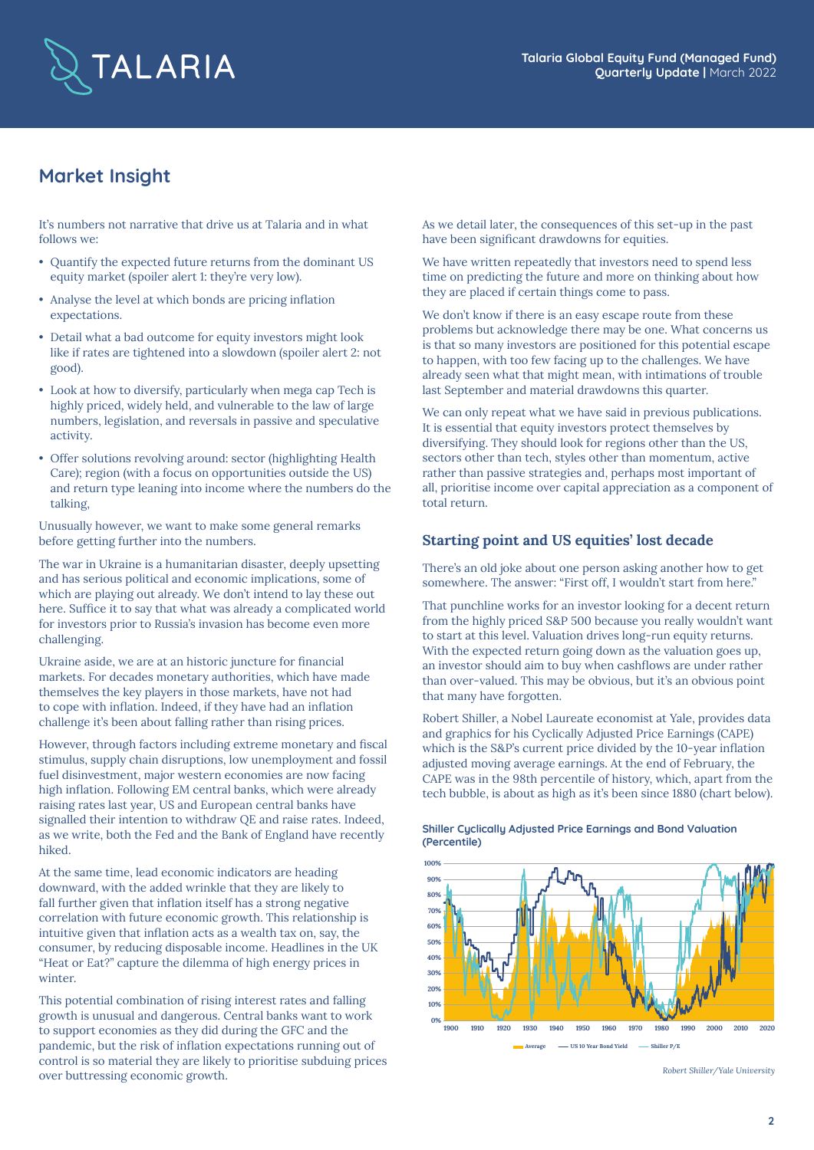

# **Market Insight**

It's numbers not narrative that drive us at Talaria and in what follows we:

- Quantify the expected future returns from the dominant US equity market (spoiler alert 1: they're very low).
- Analyse the level at which bonds are pricing inflation expectations.
- Detail what a bad outcome for equity investors might look like if rates are tightened into a slowdown (spoiler alert 2: not good).
- Look at how to diversify, particularly when mega cap Tech is highly priced, widely held, and vulnerable to the law of large numbers, legislation, and reversals in passive and speculative activity.
- Offer solutions revolving around: sector (highlighting Health Care); region (with a focus on opportunities outside the US) and return type leaning into income where the numbers do the talking,

Unusually however, we want to make some general remarks before getting further into the numbers.

The war in Ukraine is a humanitarian disaster, deeply upsetting and has serious political and economic implications, some of which are playing out already. We don't intend to lay these out here. Suffice it to say that what was already a complicated world for investors prior to Russia's invasion has become even more challenging.

Ukraine aside, we are at an historic juncture for financial markets. For decades monetary authorities, which have made themselves the key players in those markets, have not had to cope with inflation. Indeed, if they have had an inflation challenge it's been about falling rather than rising prices.

However, through factors including extreme monetary and fiscal stimulus, supply chain disruptions, low unemployment and fossil fuel disinvestment, major western economies are now facing high inflation. Following EM central banks, which were already raising rates last year, US and European central banks have signalled their intention to withdraw QE and raise rates. Indeed, as we write, both the Fed and the Bank of England have recently hiked.

At the same time, lead economic indicators are heading downward, with the added wrinkle that they are likely to fall further given that inflation itself has a strong negative correlation with future economic growth. This relationship is intuitive given that inflation acts as a wealth tax on, say, the consumer, by reducing disposable income. Headlines in the UK "Heat or Eat?" capture the dilemma of high energy prices in winter.

This potential combination of rising interest rates and falling growth is unusual and dangerous. Central banks want to work to support economies as they did during the GFC and the pandemic, but the risk of inflation expectations running out of control is so material they are likely to prioritise subduing prices over buttressing economic growth.

As we detail later, the consequences of this set-up in the past have been significant drawdowns for equities.

We have written repeatedly that investors need to spend less time on predicting the future and more on thinking about how they are placed if certain things come to pass.

We don't know if there is an easy escape route from these problems but acknowledge there may be one. What concerns us is that so many investors are positioned for this potential escape to happen, with too few facing up to the challenges. We have already seen what that might mean, with intimations of trouble last September and material drawdowns this quarter.

We can only repeat what we have said in previous publications. It is essential that equity investors protect themselves by diversifying. They should look for regions other than the US, sectors other than tech, styles other than momentum, active rather than passive strategies and, perhaps most important of all, prioritise income over capital appreciation as a component of total return.

# **Starting point and US equities' lost decade**

There's an old joke about one person asking another how to get somewhere. The answer: "First off, I wouldn't start from here."

That punchline works for an investor looking for a decent return from the highly priced S&P 500 because you really wouldn't want to start at this level. Valuation drives long-run equity returns. With the expected return going down as the valuation goes up, an investor should aim to buy when cashflows are under rather than over-valued. This may be obvious, but it's an obvious point that many have forgotten.

Robert Shiller, a Nobel Laureate economist at Yale, provides data and graphics for his Cyclically Adjusted Price Earnings (CAPE) which is the S&P's current price divided by the 10-year inflation adjusted moving average earnings. At the end of February, the CAPE was in the 98th percentile of history, which, apart from the tech bubble, is about as high as it's been since 1880 (chart below).



**Shiller Cyclically Adjusted Price Earnings and Bond Valuation (Percentile)**

*Robert Shiller/Yale University*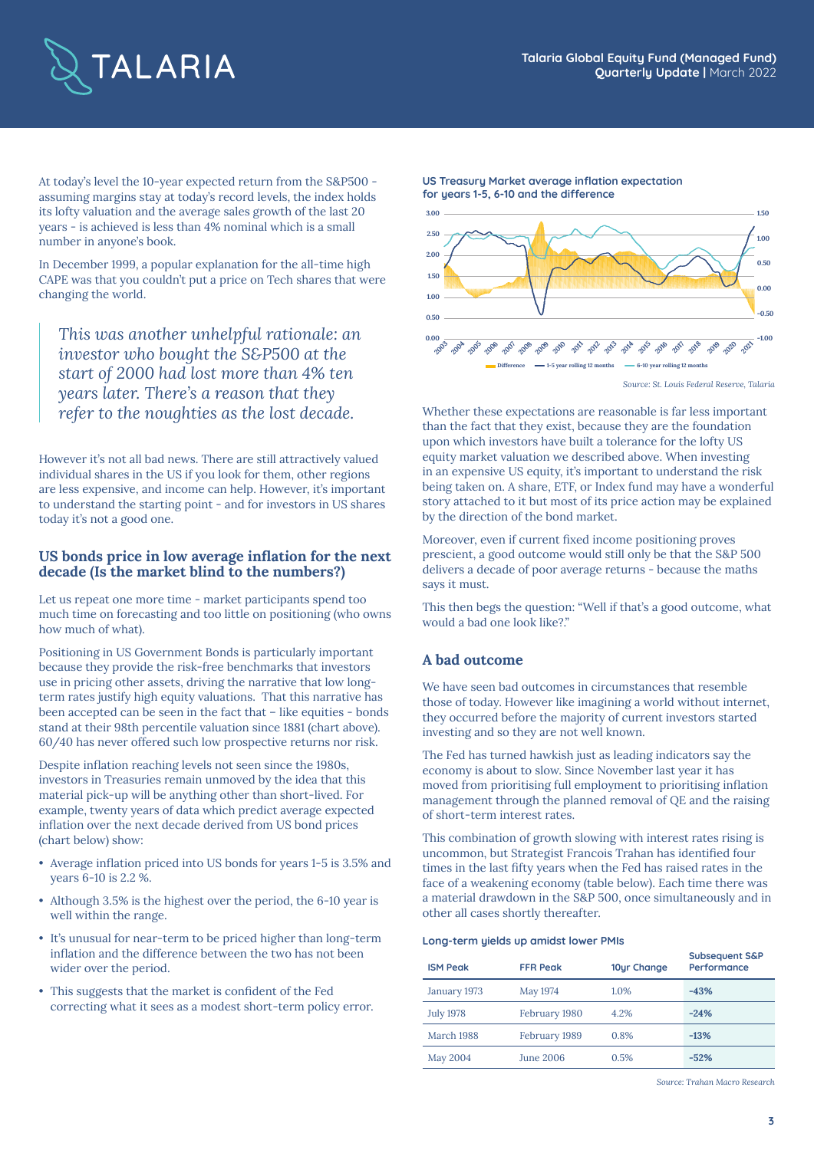

At today's level the 10-year expected return from the S&P500 assuming margins stay at today's record levels, the index holds its lofty valuation and the average sales growth of the last 20 years - is achieved is less than 4% nominal which is a small number in anyone's book.

In December 1999, a popular explanation for the all-time high CAPE was that you couldn't put a price on Tech shares that were changing the world.

*This was another unhelpful rationale: an investor who bought the S&P500 at the start of 2000 had lost more than 4% ten years later. There's a reason that they refer to the noughties as the lost decade.* Whether these expectations are reasonable is far less important

However it's not all bad news. There are still attractively valued individual shares in the US if you look for them, other regions are less expensive, and income can help. However, it's important to understand the starting point - and for investors in US shares today it's not a good one.

# **US bonds price in low average inflation for the next decade (Is the market blind to the numbers?)**

Let us repeat one more time - market participants spend too much time on forecasting and too little on positioning (who owns how much of what).

Positioning in US Government Bonds is particularly important because they provide the risk-free benchmarks that investors use in pricing other assets, driving the narrative that low longterm rates justify high equity valuations. That this narrative has been accepted can be seen in the fact that – like equities - bonds stand at their 98th percentile valuation since 1881 (chart above). 60/40 has never offered such low prospective returns nor risk.

Despite inflation reaching levels not seen since the 1980s, investors in Treasuries remain unmoved by the idea that this material pick-up will be anything other than short-lived. For example, twenty years of data which predict average expected inflation over the next decade derived from US bond prices (chart below) show:

- Average inflation priced into US bonds for years 1-5 is 3.5% and years 6-10 is 2.2 %.
- Although 3.5% is the highest over the period, the 6-10 year is well within the range.
- It's unusual for near-term to be priced higher than long-term inflation and the difference between the two has not been wider over the period.
- This suggests that the market is confident of the Fed correcting what it sees as a modest short-term policy error.



**US Treasury Market average inflation expectation**

**for years 1-5, 6-10 and the difference**

than the fact that they exist, because they are the foundation upon which investors have built a tolerance for the lofty US equity market valuation we described above. When investing in an expensive US equity, it's important to understand the risk being taken on. A share, ETF, or Index fund may have a wonderful story attached to it but most of its price action may be explained by the direction of the bond market.

Moreover, even if current fixed income positioning proves prescient, a good outcome would still only be that the S&P 500 delivers a decade of poor average returns - because the maths says it must.

This then begs the question: "Well if that's a good outcome, what would a bad one look like?."

# **A bad outcome**

We have seen bad outcomes in circumstances that resemble those of today. However like imagining a world without internet, they occurred before the majority of current investors started investing and so they are not well known.

The Fed has turned hawkish just as leading indicators say the economy is about to slow. Since November last year it has moved from prioritising full employment to prioritising inflation management through the planned removal of QE and the raising of short-term interest rates.

This combination of growth slowing with interest rates rising is uncommon, but Strategist Francois Trahan has identified four times in the last fifty years when the Fed has raised rates in the face of a weakening economy (table below). Each time there was a material drawdown in the S&P 500, once simultaneously and in other all cases shortly thereafter.

#### **Long-term yields up amidst lower PMIs**

| <b>ISM Peak</b>  | <b>FFR Peak</b> | 10ur Change | <b>Subsequent S&amp;P</b><br>Performance |
|------------------|-----------------|-------------|------------------------------------------|
| January 1973     | May 1974        | 1.0%        | $-43%$                                   |
| <b>July 1978</b> | February 1980   | 4.2%        | $-24%$                                   |
| March 1988       | February 1989   | 0.8%        | $-13%$                                   |
| <b>May 2004</b>  | June 2006       | 0.5%        | $-52%$                                   |

*Source: Trahan Macro Research*

*Source: St. Louis Federal Reserve, Talaria*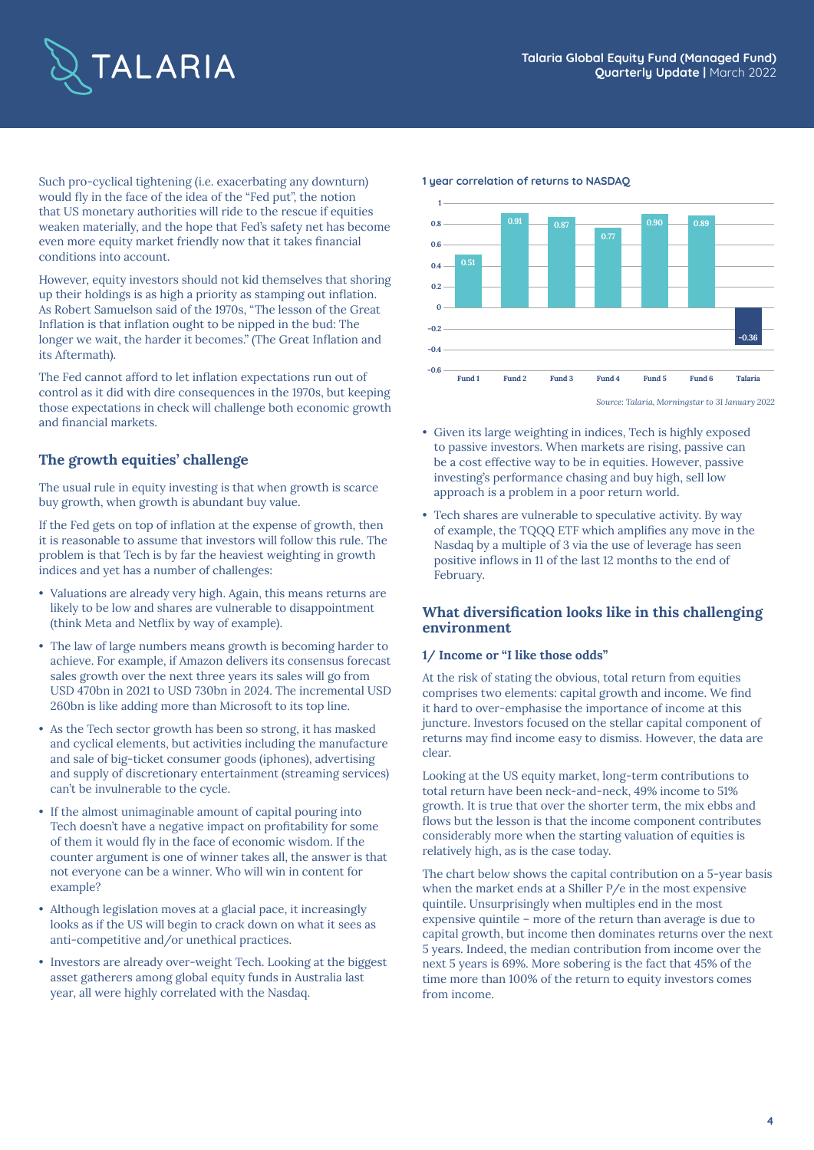

Such pro-cyclical tightening (i.e. exacerbating any downturn) would fly in the face of the idea of the "Fed put", the notion that US monetary authorities will ride to the rescue if equities weaken materially, and the hope that Fed's safety net has become even more equity market friendly now that it takes financial conditions into account.

However, equity investors should not kid themselves that shoring up their holdings is as high a priority as stamping out inflation. As Robert Samuelson said of the 1970s, "The lesson of the Great Inflation is that inflation ought to be nipped in the bud: The longer we wait, the harder it becomes." (The Great Inflation and its Aftermath).

The Fed cannot afford to let inflation expectations run out of control as it did with dire consequences in the 1970s, but keeping those expectations in check will challenge both economic growth and financial markets.

# **The growth equities' challenge**

The usual rule in equity investing is that when growth is scarce buy growth, when growth is abundant buy value.

If the Fed gets on top of inflation at the expense of growth, then it is reasonable to assume that investors will follow this rule. The problem is that Tech is by far the heaviest weighting in growth indices and yet has a number of challenges:

- Valuations are already very high. Again, this means returns are likely to be low and shares are vulnerable to disappointment (think Meta and Netflix by way of example).
- The law of large numbers means growth is becoming harder to achieve. For example, if Amazon delivers its consensus forecast sales growth over the next three years its sales will go from USD 470bn in 2021 to USD 730bn in 2024. The incremental USD 260bn is like adding more than Microsoft to its top line.
- As the Tech sector growth has been so strong, it has masked and cyclical elements, but activities including the manufacture and sale of big-ticket consumer goods (iphones), advertising and supply of discretionary entertainment (streaming services) can't be invulnerable to the cycle.
- If the almost unimaginable amount of capital pouring into Tech doesn't have a negative impact on profitability for some of them it would fly in the face of economic wisdom. If the counter argument is one of winner takes all, the answer is that not everyone can be a winner. Who will win in content for example?
- Although legislation moves at a glacial pace, it increasingly looks as if the US will begin to crack down on what it sees as anti-competitive and/or unethical practices.
- Investors are already over-weight Tech. Looking at the biggest asset gatherers among global equity funds in Australia last year, all were highly correlated with the Nasdaq.





*Source: Talaria, Morningstar to 31 January 2022*

- Given its large weighting in indices, Tech is highly exposed to passive investors. When markets are rising, passive can be a cost effective way to be in equities. However, passive investing's performance chasing and buy high, sell low approach is a problem in a poor return world.
- Tech shares are vulnerable to speculative activity. By way of example, the TQQQ ETF which amplifies any move in the Nasdaq by a multiple of 3 via the use of leverage has seen positive inflows in 11 of the last 12 months to the end of February.

# **What diversification looks like in this challenging environment**

### **1/ Income or "I like those odds"**

At the risk of stating the obvious, total return from equities comprises two elements: capital growth and income. We find it hard to over-emphasise the importance of income at this juncture. Investors focused on the stellar capital component of returns may find income easy to dismiss. However, the data are clear.

Looking at the US equity market, long-term contributions to total return have been neck-and-neck, 49% income to 51% growth. It is true that over the shorter term, the mix ebbs and flows but the lesson is that the income component contributes considerably more when the starting valuation of equities is relatively high, as is the case today.

The chart below shows the capital contribution on a 5-year basis when the market ends at a Shiller P/e in the most expensive quintile. Unsurprisingly when multiples end in the most expensive quintile – more of the return than average is due to capital growth, but income then dominates returns over the next 5 years. Indeed, the median contribution from income over the next 5 years is 69%. More sobering is the fact that 45% of the time more than 100% of the return to equity investors comes from income.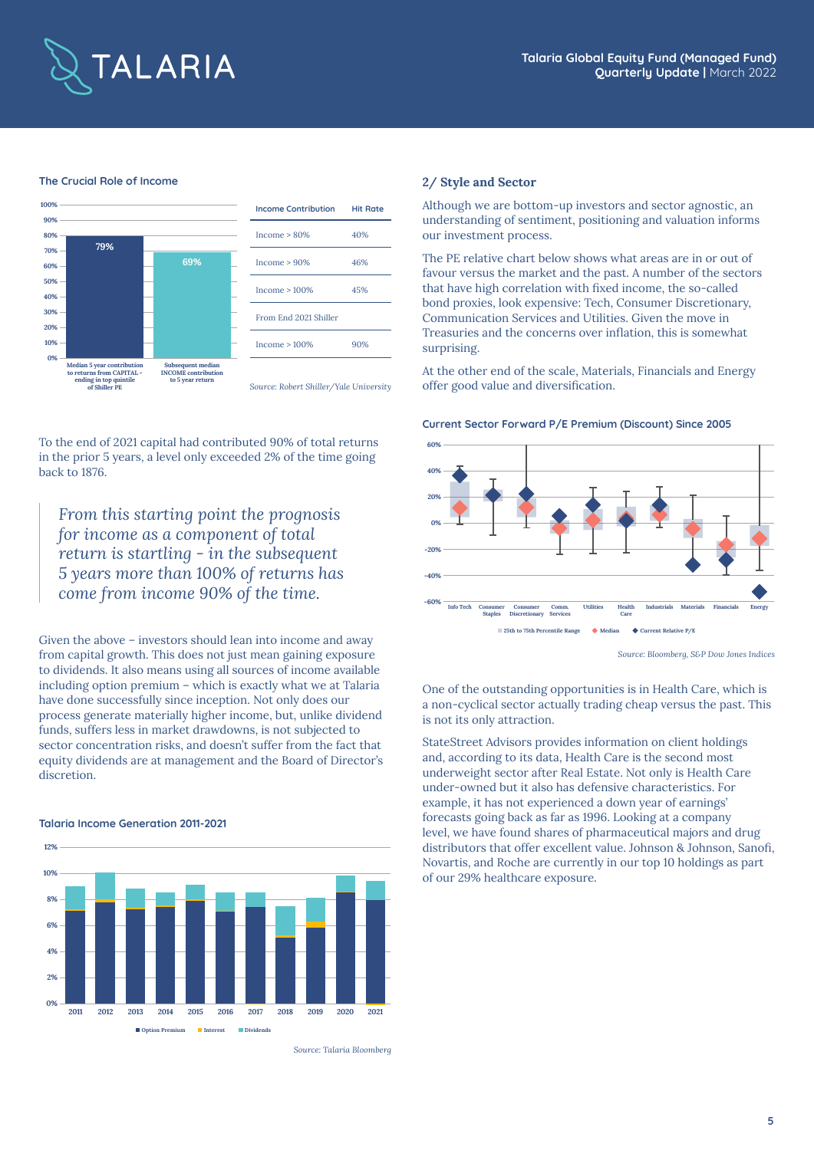

#### **The Crucial Role of Income**



To the end of 2021 capital had contributed 90% of total returns in the prior 5 years, a level only exceeded 2% of the time going back to 1876.

*From this starting point the prognosis for income as a component of total return is startling - in the subsequent 5 years more than 100% of returns has come from income 90% of the time.*

Given the above – investors should lean into income and away from capital growth. This does not just mean gaining exposure to dividends. It also means using all sources of income available including option premium – which is exactly what we at Talaria have done successfully since inception. Not only does our process generate materially higher income, but, unlike dividend funds, suffers less in market drawdowns, is not subjected to sector concentration risks, and doesn't suffer from the fact that equity dividends are at management and the Board of Director's discretion.

#### **Talaria Income Generation 2011-2021**



*Source: Talaria Bloomberg*

#### **2/ Style and Sector**

Although we are bottom-up investors and sector agnostic, an understanding of sentiment, positioning and valuation informs our investment process.

The PE relative chart below shows what areas are in or out of favour versus the market and the past. A number of the sectors that have high correlation with fixed income, the so-called bond proxies, look expensive: Tech, Consumer Discretionary, Communication Services and Utilities. Given the move in Treasuries and the concerns over inflation, this is somewhat surprising.

At the other end of the scale, Materials, Financials and Energy offer good value and diversification.

#### **Current Sector Forward P/E Premium (Discount) Since 2005**



*Source: Bloomberg, S&P Dow Jones Indices*

One of the outstanding opportunities is in Health Care, which is a non-cyclical sector actually trading cheap versus the past. This is not its only attraction.

StateStreet Advisors provides information on client holdings and, according to its data, Health Care is the second most underweight sector after Real Estate. Not only is Health Care under-owned but it also has defensive characteristics. For example, it has not experienced a down year of earnings' forecasts going back as far as 1996. Looking at a company level, we have found shares of pharmaceutical majors and drug distributors that offer excellent value. Johnson & Johnson, Sanofi, Novartis, and Roche are currently in our top 10 holdings as part of our 29% healthcare exposure.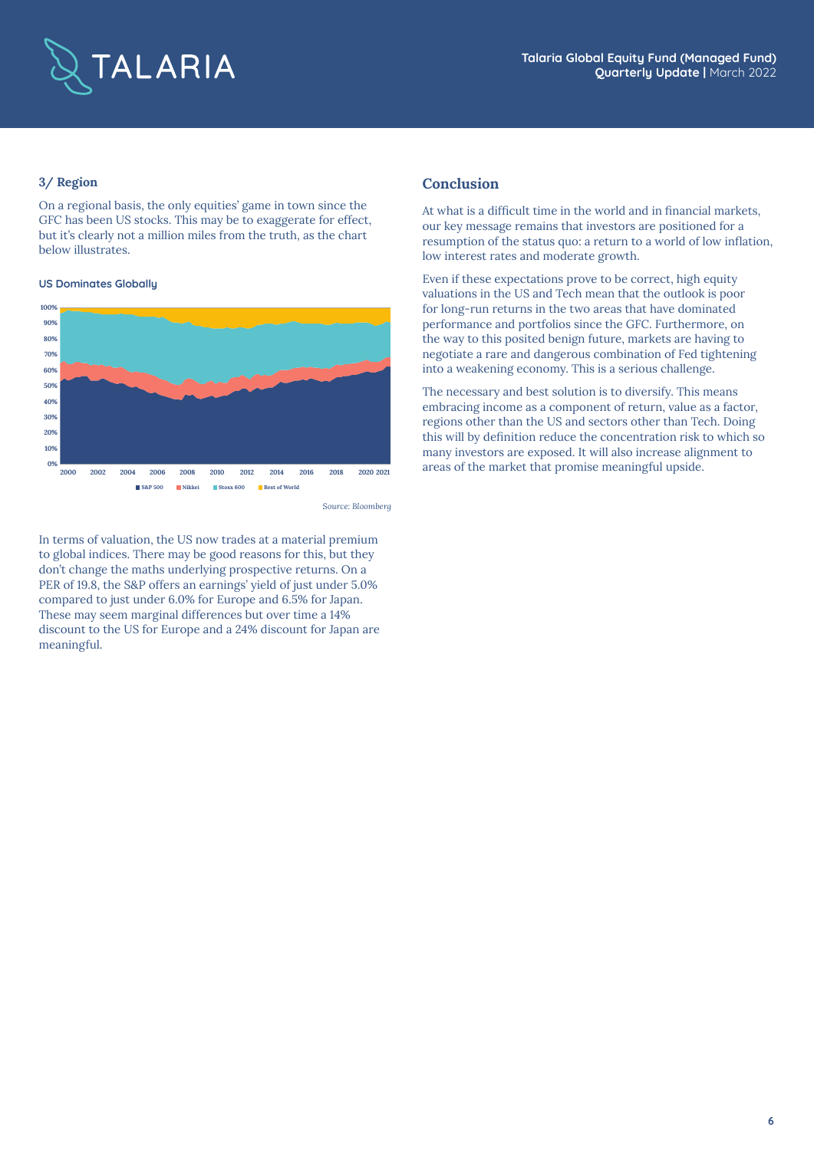

### **3/ Region**

On a regional basis, the only equities' game in town since the GFC has been US stocks. This may be to exaggerate for effect, but it's clearly not a million miles from the truth, as the chart below illustrates.

#### **US Dominates Globally**



*Source: Bloomberg*

In terms of valuation, the US now trades at a material premium to global indices. There may be good reasons for this, but they don't change the maths underlying prospective returns. On a PER of 19.8, the S&P offers an earnings' yield of just under 5.0% compared to just under 6.0% for Europe and 6.5% for Japan. These may seem marginal differences but over time a 14% discount to the US for Europe and a 24% discount for Japan are meaningful.

### **Conclusion**

At what is a difficult time in the world and in financial markets, our key message remains that investors are positioned for a resumption of the status quo: a return to a world of low inflation, low interest rates and moderate growth.

Even if these expectations prove to be correct, high equity valuations in the US and Tech mean that the outlook is poor for long-run returns in the two areas that have dominated performance and portfolios since the GFC. Furthermore, on the way to this posited benign future, markets are having to negotiate a rare and dangerous combination of Fed tightening into a weakening economy. This is a serious challenge.

The necessary and best solution is to diversify. This means embracing income as a component of return, value as a factor, regions other than the US and sectors other than Tech. Doing this will by definition reduce the concentration risk to which so many investors are exposed. It will also increase alignment to areas of the market that promise meaningful upside.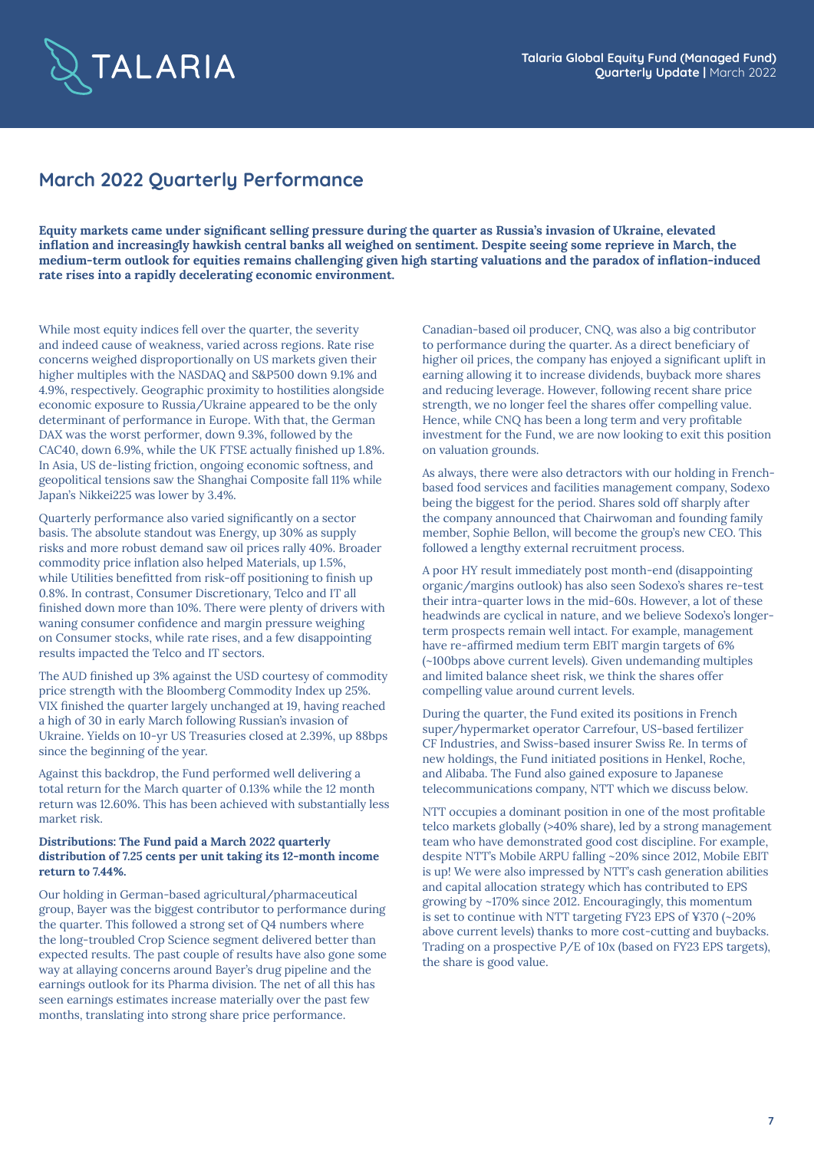

# **March 2022 Quarterly Performance**

**Equity markets came under significant selling pressure during the quarter as Russia's invasion of Ukraine, elevated inflation and increasingly hawkish central banks all weighed on sentiment. Despite seeing some reprieve in March, the medium-term outlook for equities remains challenging given high starting valuations and the paradox of inflation-induced rate rises into a rapidly decelerating economic environment.** 

While most equity indices fell over the quarter, the severity and indeed cause of weakness, varied across regions. Rate rise concerns weighed disproportionally on US markets given their higher multiples with the NASDAQ and S&P500 down 9.1% and 4.9%, respectively. Geographic proximity to hostilities alongside economic exposure to Russia/Ukraine appeared to be the only determinant of performance in Europe. With that, the German DAX was the worst performer, down 9.3%, followed by the CAC40, down 6.9%, while the UK FTSE actually finished up 1.8%. In Asia, US de-listing friction, ongoing economic softness, and geopolitical tensions saw the Shanghai Composite fall 11% while Japan's Nikkei225 was lower by 3.4%.

Quarterly performance also varied significantly on a sector basis. The absolute standout was Energy, up 30% as supply risks and more robust demand saw oil prices rally 40%. Broader commodity price inflation also helped Materials, up 1.5%, while Utilities benefitted from risk-off positioning to finish up 0.8%. In contrast, Consumer Discretionary, Telco and IT all finished down more than 10%. There were plenty of drivers with waning consumer confidence and margin pressure weighing on Consumer stocks, while rate rises, and a few disappointing results impacted the Telco and IT sectors.

The AUD finished up 3% against the USD courtesy of commodity price strength with the Bloomberg Commodity Index up 25%. VIX finished the quarter largely unchanged at 19, having reached a high of 30 in early March following Russian's invasion of Ukraine. Yields on 10-yr US Treasuries closed at 2.39%, up 88bps since the beginning of the year.

Against this backdrop, the Fund performed well delivering a total return for the March quarter of 0.13% while the 12 month return was 12.60%. This has been achieved with substantially less market risk.

#### **Distributions: The Fund paid a March 2022 quarterly distribution of 7.25 cents per unit taking its 12-month income return to 7.44%.**

Our holding in German-based agricultural/pharmaceutical group, Bayer was the biggest contributor to performance during the quarter. This followed a strong set of Q4 numbers where the long-troubled Crop Science segment delivered better than expected results. The past couple of results have also gone some way at allaying concerns around Bayer's drug pipeline and the earnings outlook for its Pharma division. The net of all this has seen earnings estimates increase materially over the past few months, translating into strong share price performance.

Canadian-based oil producer, CNQ, was also a big contributor to performance during the quarter. As a direct beneficiary of higher oil prices, the company has enjoyed a significant uplift in earning allowing it to increase dividends, buyback more shares and reducing leverage. However, following recent share price strength, we no longer feel the shares offer compelling value. Hence, while CNQ has been a long term and very profitable investment for the Fund, we are now looking to exit this position on valuation grounds.

As always, there were also detractors with our holding in Frenchbased food services and facilities management company, Sodexo being the biggest for the period. Shares sold off sharply after the company announced that Chairwoman and founding family member, Sophie Bellon, will become the group's new CEO. This followed a lengthy external recruitment process.

A poor HY result immediately post month-end (disappointing organic/margins outlook) has also seen Sodexo's shares re-test their intra-quarter lows in the mid-60s. However, a lot of these headwinds are cyclical in nature, and we believe Sodexo's longerterm prospects remain well intact. For example, management have re-affirmed medium term EBIT margin targets of 6% (~100bps above current levels). Given undemanding multiples and limited balance sheet risk, we think the shares offer compelling value around current levels.

During the quarter, the Fund exited its positions in French super/hypermarket operator Carrefour, US-based fertilizer CF Industries, and Swiss-based insurer Swiss Re. In terms of new holdings, the Fund initiated positions in Henkel, Roche, and Alibaba. The Fund also gained exposure to Japanese telecommunications company, NTT which we discuss below.

NTT occupies a dominant position in one of the most profitable telco markets globally (>40% share), led by a strong management team who have demonstrated good cost discipline. For example, despite NTT's Mobile ARPU falling ~20% since 2012, Mobile EBIT is up! We were also impressed by NTT's cash generation abilities and capital allocation strategy which has contributed to EPS growing by ~170% since 2012. Encouragingly, this momentum is set to continue with NTT targeting FY23 EPS of ¥370 (~20% above current levels) thanks to more cost-cutting and buybacks. Trading on a prospective P/E of 10x (based on FY23 EPS targets), the share is good value.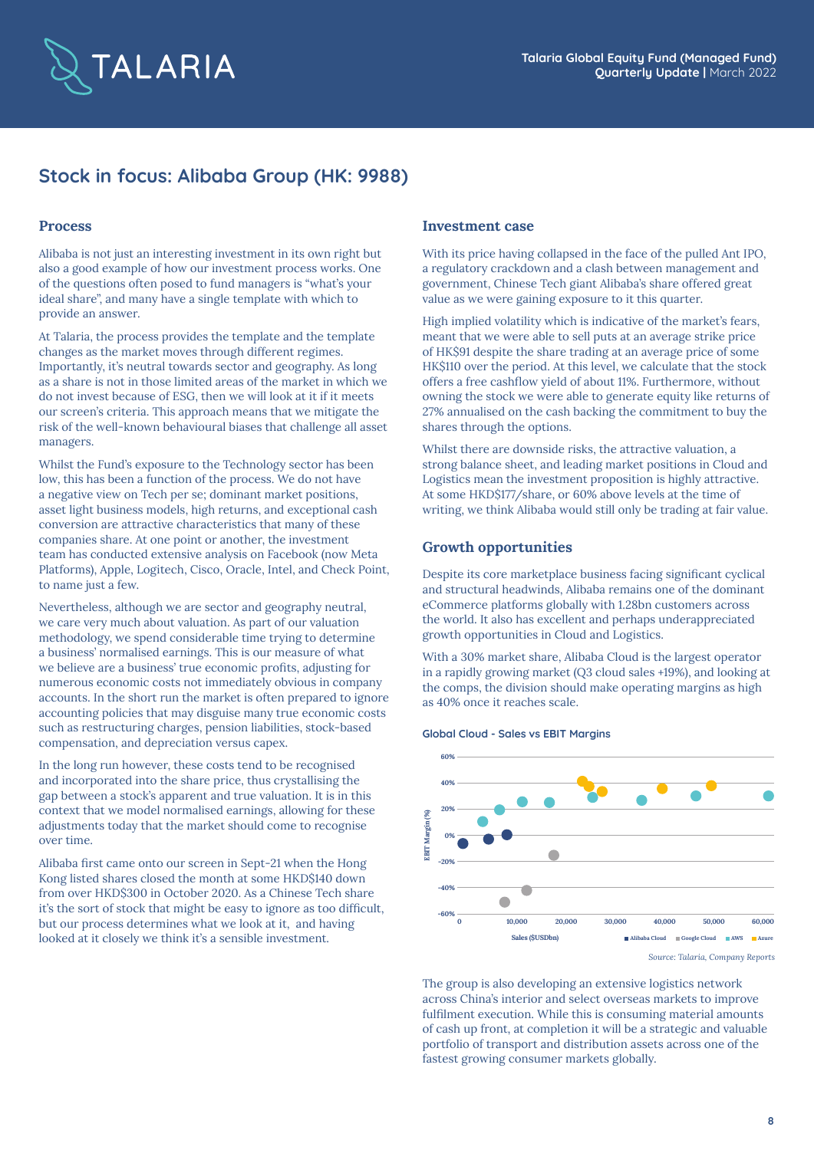

# **Stock in focus: Alibaba Group (HK: 9988)**

### **Process**

Alibaba is not just an interesting investment in its own right but also a good example of how our investment process works. One of the questions often posed to fund managers is "what's your ideal share", and many have a single template with which to provide an answer.

At Talaria, the process provides the template and the template changes as the market moves through different regimes. Importantly, it's neutral towards sector and geography. As long as a share is not in those limited areas of the market in which we do not invest because of ESG, then we will look at it if it meets our screen's criteria. This approach means that we mitigate the risk of the well-known behavioural biases that challenge all asset managers.

Whilst the Fund's exposure to the Technology sector has been low, this has been a function of the process. We do not have a negative view on Tech per se; dominant market positions, asset light business models, high returns, and exceptional cash conversion are attractive characteristics that many of these companies share. At one point or another, the investment team has conducted extensive analysis on Facebook (now Meta Platforms), Apple, Logitech, Cisco, Oracle, Intel, and Check Point, to name just a few.

Nevertheless, although we are sector and geography neutral, we care very much about valuation. As part of our valuation methodology, we spend considerable time trying to determine a business' normalised earnings. This is our measure of what we believe are a business' true economic profits, adjusting for numerous economic costs not immediately obvious in company accounts. In the short run the market is often prepared to ignore accounting policies that may disguise many true economic costs such as restructuring charges, pension liabilities, stock-based compensation, and depreciation versus capex.

In the long run however, these costs tend to be recognised and incorporated into the share price, thus crystallising the gap between a stock's apparent and true valuation. It is in this context that we model normalised earnings, allowing for these adjustments today that the market should come to recognise over time.

Alibaba first came onto our screen in Sept-21 when the Hong Kong listed shares closed the month at some HKD\$140 down from over HKD\$300 in October 2020. As a Chinese Tech share it's the sort of stock that might be easy to ignore as too difficult, but our process determines what we look at it, and having looked at it closely we think it's a sensible investment.

### **Investment case**

With its price having collapsed in the face of the pulled Ant IPO, a regulatory crackdown and a clash between management and government, Chinese Tech giant Alibaba's share offered great value as we were gaining exposure to it this quarter.

High implied volatility which is indicative of the market's fears, meant that we were able to sell puts at an average strike price of HK\$91 despite the share trading at an average price of some HK\$110 over the period. At this level, we calculate that the stock offers a free cashflow yield of about 11%. Furthermore, without owning the stock we were able to generate equity like returns of 27% annualised on the cash backing the commitment to buy the shares through the options.

Whilst there are downside risks, the attractive valuation, a strong balance sheet, and leading market positions in Cloud and Logistics mean the investment proposition is highly attractive. At some HKD\$177/share, or 60% above levels at the time of writing, we think Alibaba would still only be trading at fair value.

### **Growth opportunities**

Despite its core marketplace business facing significant cyclical and structural headwinds, Alibaba remains one of the dominant eCommerce platforms globally with 1.28bn customers across the world. It also has excellent and perhaps underappreciated growth opportunities in Cloud and Logistics.

With a 30% market share, Alibaba Cloud is the largest operator in a rapidly growing market (Q3 cloud sales +19%), and looking at the comps, the division should make operating margins as high as 40% once it reaches scale.





*Source: Talaria, Company Reports*

The group is also developing an extensive logistics network across China's interior and select overseas markets to improve fulfilment execution. While this is consuming material amounts of cash up front, at completion it will be a strategic and valuable portfolio of transport and distribution assets across one of the fastest growing consumer markets globally.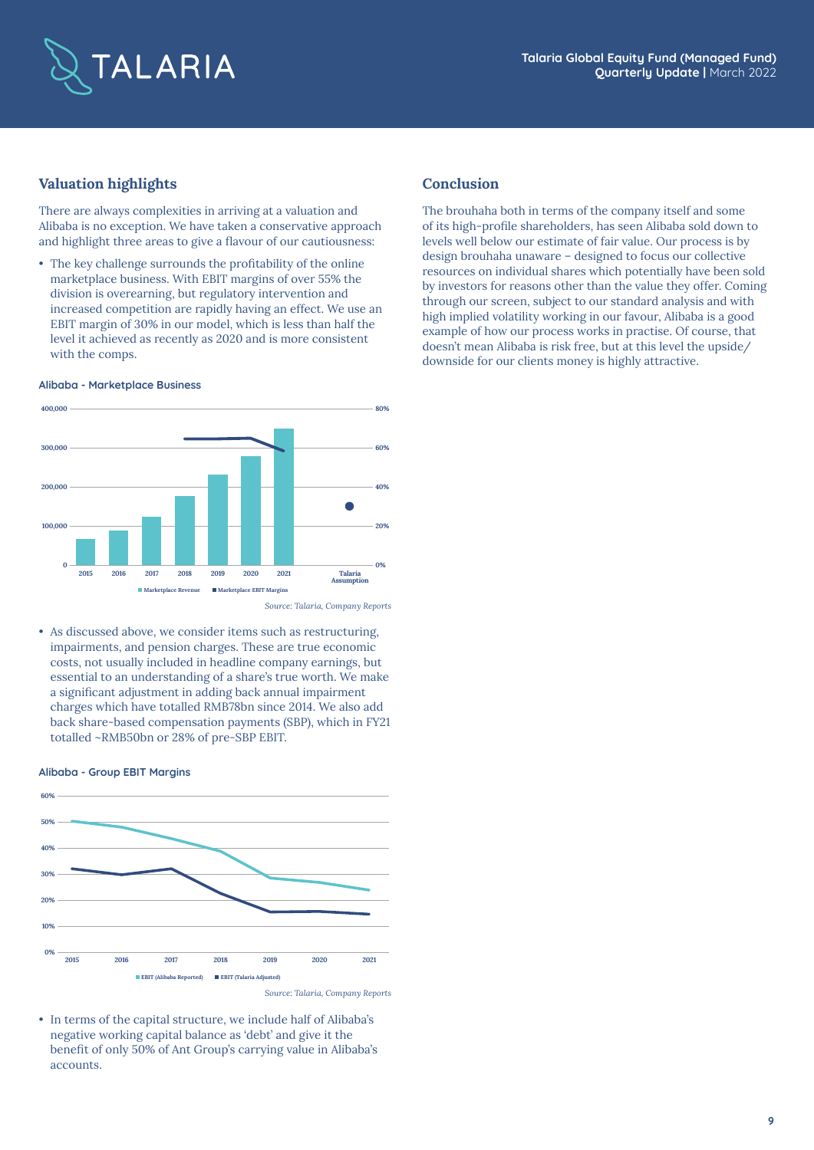

# **Valuation highlights**

There are always complexities in arriving at a valuation and Alibaba is no exception. We have taken a conservative approach and highlight three areas to give a flavour of our cautiousness:

• The key challenge surrounds the profitability of the online marketplace business. With EBIT margins of over 55% the division is overearning, but regulatory intervention and increased competition are rapidly having an effect. We use an EBIT margin of 30% in our model, which is less than half the level it achieved as recently as 2020 and is more consistent with the comps.

#### **Alibaba - Marketplace Business**



*Source: Talaria, Company Reports*

• As discussed above, we consider items such as restructuring, impairments, and pension charges. These are true economic costs, not usually included in headline company earnings, but essential to an understanding of a share's true worth. We make a significant adjustment in adding back annual impairment charges which have totalled RMB78bn since 2014. We also add back share-based compensation payments (SBP), which in FY21 totalled ~RMB50bn or 28% of pre-SBP EBIT.

#### **Alibaba - Group EBIT Margins**



• In terms of the capital structure, we include half of Alibaba's negative working capital balance as 'debt' and give it the benefit of only 50% of Ant Group's carrying value in Alibaba's accounts.

### **Conclusion**

The brouhaha both in terms of the company itself and some of its high-profile shareholders, has seen Alibaba sold down to levels well below our estimate of fair value. Our process is by design brouhaha unaware – designed to focus our collective resources on individual shares which potentially have been sold by investors for reasons other than the value they offer. Coming through our screen, subject to our standard analysis and with high implied volatility working in our favour, Alibaba is a good example of how our process works in practise. Of course, that doesn't mean Alibaba is risk free, but at this level the upside/ downside for our clients money is highly attractive.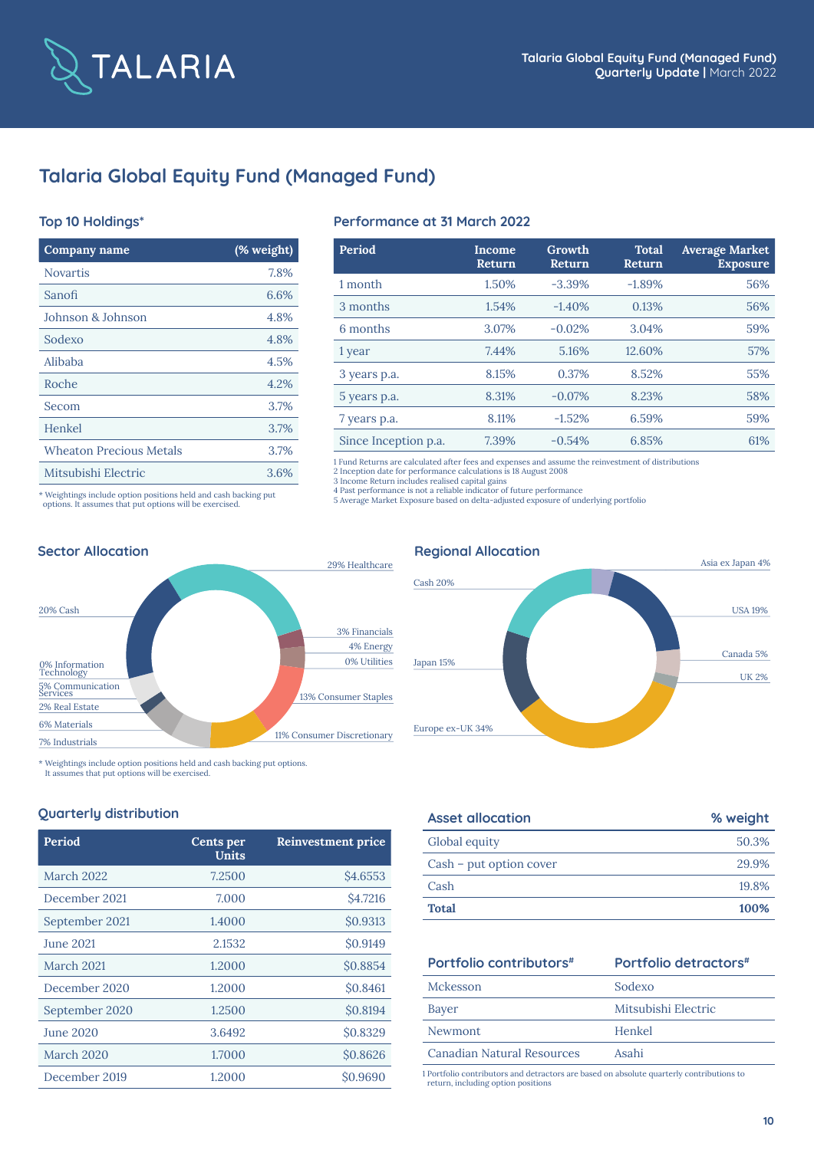

# **Talaria Global Equity Fund (Managed Fund)**

# **Top 10 Holdings\***

| Company name                                                    | (% weight) |  |
|-----------------------------------------------------------------|------------|--|
| <b>Novartis</b>                                                 | 7.8%       |  |
| Sanofi                                                          | 6.6%       |  |
| Johnson & Johnson                                               | 4.8%       |  |
| Sodexo                                                          | 4.8%       |  |
| Alibaba                                                         | 4.5%       |  |
| Roche                                                           | 4.2%       |  |
| Secom                                                           | 3.7%       |  |
| Henkel                                                          | 3.7%       |  |
| <b>Wheaton Precious Metals</b>                                  | 3.7%       |  |
| Mitsubishi Electric                                             | 3.6%       |  |
| * Weightings include option positions held and cash backing put |            |  |

# **Performance at 31 March 2022**

| Period               | Income<br>Return | Growth<br>Return | <b>Total</b><br>Return | <b>Average Market</b><br><b>Exposure</b> |
|----------------------|------------------|------------------|------------------------|------------------------------------------|
| 1 month              | 1.50%            | $-3.39%$         | $-1.89%$               | 56%                                      |
| 3 months             | 1.54%            | $-1.40%$         | 0.13%                  | 56%                                      |
| 6 months             | 3.07%            | $-0.02%$         | 3.04%                  | 59%                                      |
| 1 year               | 7.44%            | 5.16%            | 12.60%                 | 57%                                      |
| 3 years p.a.         | 8.15%            | 0.37%            | 8.52%                  | 55%                                      |
| 5 years p.a.         | 8.31%            | $-0.07%$         | 8.23%                  | 58%                                      |
| 7 years p.a.         | 8.11%            | $-1.52%$         | 6.59%                  | 59%                                      |
| Since Inception p.a. | 7.39%            | $-0.54%$         | 6.85%                  | 61%                                      |

1 Fund Returns are calculated after fees and expenses and assume the reinvestment of distributions 2 Inception date for performance calculations is 18 August 2008

3 Income Return includes realised capital gains<br>4 Past performance is not a reliable indicator of future performance<br>5 Average Market Exposure based on delta-adjusted exposure of underlying portfolio

# 20% Cash 5% Communication Services 2% Real Estate 6% Materials 0% Information Technology 29% Healthcare 3% Financials 7% Industrials 11% Consumer Discretionary 13% Consumer Staples 4% Energy 0% Utilities **Sector Allocation Regional Allocation Regional Allocation**



\* Weightings include option positions held and cash backing put options.

It assumes that put options will be exercised.

options. It assumes that put options will be exercised.

# **Quarterly distribution**

| Period           | Cents per<br>Units | <b>Reinvestment price</b> |
|------------------|--------------------|---------------------------|
| March 2022       | 7.2500             | \$4.6553                  |
| December 2021    | 7.000              | <b>\$4.7216</b>           |
| September 2021   | 1.4000             | \$0.9313                  |
| <b>June 2021</b> | 2.1532             | \$0.9149                  |
| March 2021       | 1.2000             | \$0.8854                  |
| December 2020    | 1.2000             | \$0.8461                  |
| September 2020   | 1.2500             | \$0.8194                  |
| <b>June 2020</b> | 3.6492             | \$0.8329                  |
| March 2020       | 1.7000             | \$0.8626                  |
| December 2019    | 1.2000             | \$0.9690                  |

| <b>Asset allocation</b> | % weight |
|-------------------------|----------|
| Global equity           | 50.3%    |
| Cash – put option cover | 29.9%    |
| Cash                    | 19.8%    |
| <b>Total</b>            | 100%     |

# **Portfolio contributors**#

| Portfolio detractors <sup>#</sup> |  |  |  |
|-----------------------------------|--|--|--|
|-----------------------------------|--|--|--|

| Mckesson                   | Sodexo              |
|----------------------------|---------------------|
| Bayer                      | Mitsubishi Electric |
| Newmont                    | Henkel              |
| Canadian Natural Resources | Asahi               |

1 Portfolio contributors and detractors are based on absolute quarterly contributions to return, including option positions